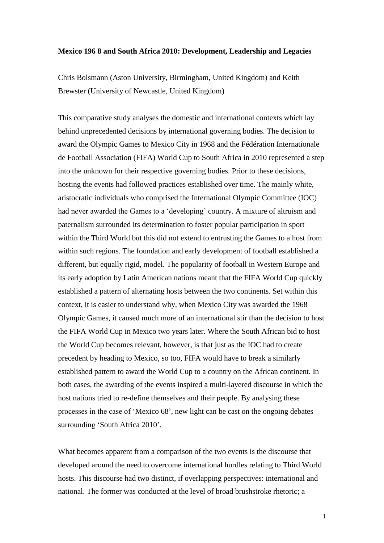#### **Mexico 196 8 and South Africa 2010: Development, Leadership and Legacies**

Chris Bolsmann (Aston University, Birmingham, United Kingdom) and Keith Brewster (University of Newcastle, United Kingdom)

This comparative study analyses the domestic and international contexts which lay behind unprecedented decisions by international governing bodies. The decision to award the Olympic Games to Mexico City in 1968 and the Fédération Internationale de Football Association (FIFA) World Cup to South Africa in 2010 represented a step into the unknown for their respective governing bodies. Prior to these decisions, hosting the events had followed practices established over time. The mainly white, aristocratic individuals who comprised the International Olympic Committee (IOC) had never awarded the Games to a 'developing' country. A mixture of altruism and paternalism surrounded its determination to foster popular participation in sport within the Third World but this did not extend to entrusting the Games to a host from within such regions. The foundation and early development of football established a different, but equally rigid, model. The popularity of football in Western Europe and its early adoption by Latin American nations meant that the FIFA World Cup quickly established a pattern of alternating hosts between the two continents. Set within this context, it is easier to understand why, when Mexico City was awarded the 1968 Olympic Games, it caused much more of an international stir than the decision to host the FIFA World Cup in Mexico two years later. Where the South African bid to host the World Cup becomes relevant, however, is that just as the IOC had to create precedent by heading to Mexico, so too, FIFA would have to break a similarly established pattern to award the World Cup to a country on the African continent. In both cases, the awarding of the events inspired a multi-layered discourse in which the host nations tried to re-define themselves and their people. By analysing these processes in the case of "Mexico 68", new light can be cast on the ongoing debates surrounding 'South Africa 2010'.

What becomes apparent from a comparison of the two events is the discourse that developed around the need to overcome international hurdles relating to Third World hosts. This discourse had two distinct, if overlapping perspectives: international and national. The former was conducted at the level of broad brushstroke rhetoric; a

1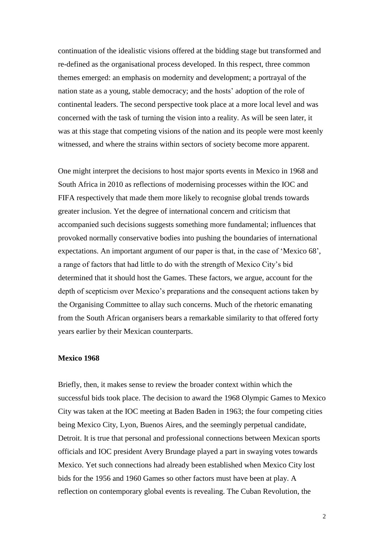continuation of the idealistic visions offered at the bidding stage but transformed and re-defined as the organisational process developed. In this respect, three common themes emerged: an emphasis on modernity and development; a portrayal of the nation state as a young, stable democracy; and the hosts' adoption of the role of continental leaders. The second perspective took place at a more local level and was concerned with the task of turning the vision into a reality. As will be seen later, it was at this stage that competing visions of the nation and its people were most keenly witnessed, and where the strains within sectors of society become more apparent.

One might interpret the decisions to host major sports events in Mexico in 1968 and South Africa in 2010 as reflections of modernising processes within the IOC and FIFA respectively that made them more likely to recognise global trends towards greater inclusion. Yet the degree of international concern and criticism that accompanied such decisions suggests something more fundamental; influences that provoked normally conservative bodies into pushing the boundaries of international expectations. An important argument of our paper is that, in the case of "Mexico 68", a range of factors that had little to do with the strength of Mexico City"s bid determined that it should host the Games. These factors, we argue, account for the depth of scepticism over Mexico"s preparations and the consequent actions taken by the Organising Committee to allay such concerns. Much of the rhetoric emanating from the South African organisers bears a remarkable similarity to that offered forty years earlier by their Mexican counterparts.

# **Mexico 1968**

Briefly, then, it makes sense to review the broader context within which the successful bids took place. The decision to award the 1968 Olympic Games to Mexico City was taken at the IOC meeting at Baden Baden in 1963; the four competing cities being Mexico City, Lyon, Buenos Aires, and the seemingly perpetual candidate, Detroit. It is true that personal and professional connections between Mexican sports officials and IOC president Avery Brundage played a part in swaying votes towards Mexico. Yet such connections had already been established when Mexico City lost bids for the 1956 and 1960 Games so other factors must have been at play. A reflection on contemporary global events is revealing. The Cuban Revolution, the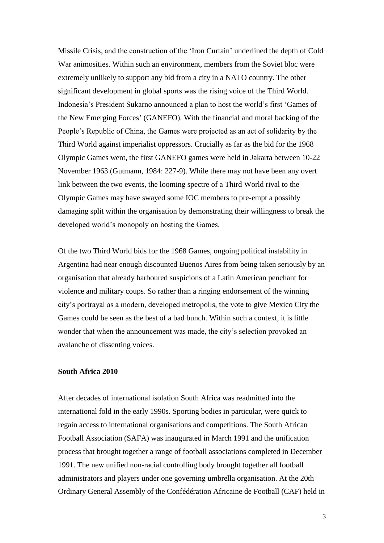Missile Crisis, and the construction of the "Iron Curtain" underlined the depth of Cold War animosities. Within such an environment, members from the Soviet bloc were extremely unlikely to support any bid from a city in a NATO country. The other significant development in global sports was the rising voice of the Third World. Indonesia"s President Sukarno announced a plan to host the world"s first "Games of the New Emerging Forces" (GANEFO). With the financial and moral backing of the People"s Republic of China, the Games were projected as an act of solidarity by the Third World against imperialist oppressors. Crucially as far as the bid for the 1968 Olympic Games went, the first GANEFO games were held in Jakarta between 10-22 November 1963 (Gutmann, 1984: 227-9). While there may not have been any overt link between the two events, the looming spectre of a Third World rival to the Olympic Games may have swayed some IOC members to pre-empt a possibly damaging split within the organisation by demonstrating their willingness to break the developed world"s monopoly on hosting the Games.

Of the two Third World bids for the 1968 Games, ongoing political instability in Argentina had near enough discounted Buenos Aires from being taken seriously by an organisation that already harboured suspicions of a Latin American penchant for violence and military coups. So rather than a ringing endorsement of the winning city"s portrayal as a modern, developed metropolis, the vote to give Mexico City the Games could be seen as the best of a bad bunch. Within such a context, it is little wonder that when the announcement was made, the city's selection provoked an avalanche of dissenting voices.

# **South Africa 2010**

After decades of international isolation South Africa was readmitted into the international fold in the early 1990s. Sporting bodies in particular, were quick to regain access to international organisations and competitions. The South African Football Association (SAFA) was inaugurated in March 1991 and the unification process that brought together a range of football associations completed in December 1991. The new unified non-racial controlling body brought together all football administrators and players under one governing umbrella organisation. At the 20th Ordinary General Assembly of the Confédération Africaine de Football (CAF) held in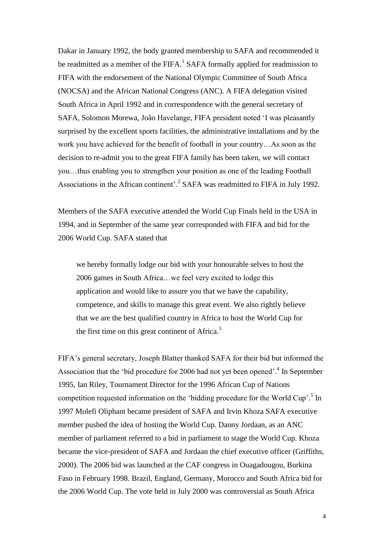Dakar in January 1992, the body granted membership to SAFA and recommended it be readmitted as a member of the FIFA. $<sup>1</sup>$  SAFA formally applied for readmission to</sup> FIFA with the endorsement of the National Olympic Committee of South Africa (NOCSA) and the African National Congress (ANC). A FIFA delegation visited South Africa in April 1992 and in correspondence with the general secretary of SAFA, Solomon Morewa, João Havelange, FIFA president noted "I was pleasantly surprised by the excellent sports facilities, the administrative installations and by the work you have achieved for the benefit of football in your country…As soon as the decision to re-admit you to the great FIFA family has been taken, we will contact you…thus enabling you to strengthen your position as one of the leading Football Associations in the African continent'.<sup>2</sup> SAFA was readmitted to FIFA in July 1992.

Members of the SAFA executive attended the World Cup Finals held in the USA in 1994, and in September of the same year corresponded with FIFA and bid for the 2006 World Cup. SAFA stated that

we hereby formally lodge our bid with your honourable selves to host the 2006 games in South Africa…we feel very excited to lodge this application and would like to assure you that we have the capability, competence, and skills to manage this great event. We also rightly believe that we are the best qualified country in Africa to host the World Cup for the first time on this great continent of Africa.<sup>3</sup>

FIFA"s general secretary, Joseph Blatter thanked SAFA for their bid but informed the Association that the 'bid procedure for 2006 had not yet been opened'.<sup>4</sup> In September 1995, Ian Riley, Tournament Director for the 1996 African Cup of Nations competition requested information on the 'bidding procedure for the World Cup'.<sup>5</sup> In 1997 Molefi Oliphant became president of SAFA and Irvin Khoza SAFA executive member pushed the idea of hosting the World Cup. Danny Jordaan, as an ANC member of parliament referred to a bid in parliament to stage the World Cup. Khoza became the vice-president of SAFA and Jordaan the chief executive officer (Griffiths, 2000). The 2006 bid was launched at the CAF congress in Ouagadougou, Burkina Faso in February 1998. Brazil, England, Germany, Morocco and South Africa bid for the 2006 World Cup. The vote held in July 2000 was controversial as South Africa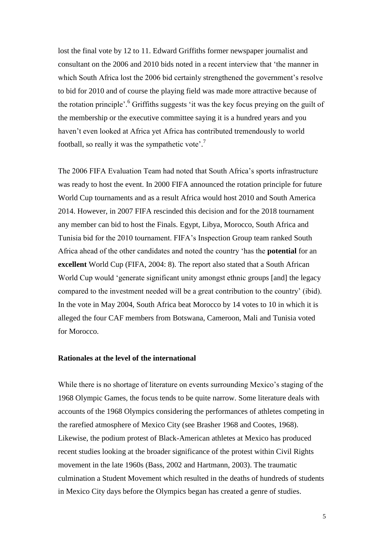lost the final vote by 12 to 11. Edward Griffiths former newspaper journalist and consultant on the 2006 and 2010 bids noted in a recent interview that "the manner in which South Africa lost the 2006 bid certainly strengthened the government's resolve to bid for 2010 and of course the playing field was made more attractive because of the rotation principle'.<sup>6</sup> Griffiths suggests 'it was the key focus preying on the guilt of the membership or the executive committee saying it is a hundred years and you haven"t even looked at Africa yet Africa has contributed tremendously to world football, so really it was the sympathetic vote'.<sup>7</sup>

The 2006 FIFA Evaluation Team had noted that South Africa"s sports infrastructure was ready to host the event. In 2000 FIFA announced the rotation principle for future World Cup tournaments and as a result Africa would host 2010 and South America 2014. However, in 2007 FIFA rescinded this decision and for the 2018 tournament any member can bid to host the Finals. Egypt, Libya, Morocco, South Africa and Tunisia bid for the 2010 tournament. FIFA"s Inspection Group team ranked South Africa ahead of the other candidates and noted the country "has the **potential** for an **excellent** World Cup (FIFA, 2004: 8). The report also stated that a South African World Cup would "generate significant unity amongst ethnic groups [and] the legacy compared to the investment needed will be a great contribution to the country" (ibid). In the vote in May 2004, South Africa beat Morocco by 14 votes to 10 in which it is alleged the four CAF members from Botswana, Cameroon, Mali and Tunisia voted for Morocco.

# **Rationales at the level of the international**

While there is no shortage of literature on events surrounding Mexico's staging of the 1968 Olympic Games, the focus tends to be quite narrow. Some literature deals with accounts of the 1968 Olympics considering the performances of athletes competing in the rarefied atmosphere of Mexico City (see Brasher 1968 and Cootes, 1968). Likewise, the podium protest of Black-American athletes at Mexico has produced recent studies looking at the broader significance of the protest within Civil Rights movement in the late 1960s (Bass, 2002 and Hartmann, 2003). The traumatic culmination a Student Movement which resulted in the deaths of hundreds of students in Mexico City days before the Olympics began has created a genre of studies.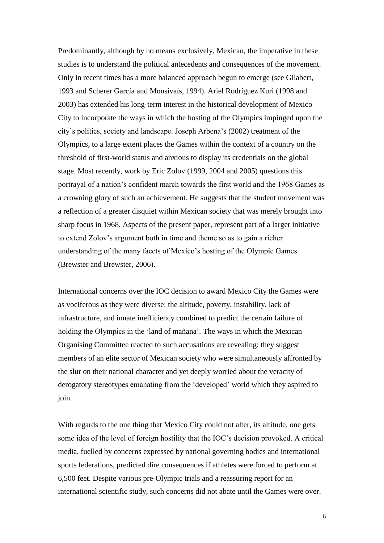Predominantly, although by no means exclusively, Mexican, the imperative in these studies is to understand the political antecedents and consequences of the movement. Only in recent times has a more balanced approach begun to emerge (see Gilabert, 1993 and Scherer García and Monsivaís, 1994). Ariel Rodríguez Kuri (1998 and 2003) has extended his long-term interest in the historical development of Mexico City to incorporate the ways in which the hosting of the Olympics impinged upon the city"s politics, society and landscape. Joseph Arbena"s (2002) treatment of the Olympics, to a large extent places the Games within the context of a country on the threshold of first-world status and anxious to display its credentials on the global stage. Most recently, work by Eric Zolov (1999, 2004 and 2005) questions this portrayal of a nation"s confident march towards the first world and the 1968 Games as a crowning glory of such an achievement. He suggests that the student movement was a reflection of a greater disquiet within Mexican society that was merely brought into sharp focus in 1968. Aspects of the present paper, represent part of a larger initiative to extend Zolov"s argument both in time and theme so as to gain a richer understanding of the many facets of Mexico"s hosting of the Olympic Games (Brewster and Brewster, 2006).

International concerns over the IOC decision to award Mexico City the Games were as vociferous as they were diverse: the altitude, poverty, instability, lack of infrastructure, and innate inefficiency combined to predict the certain failure of holding the Olympics in the "land of mañana". The ways in which the Mexican Organising Committee reacted to such accusations are revealing: they suggest members of an elite sector of Mexican society who were simultaneously affronted by the slur on their national character and yet deeply worried about the veracity of derogatory stereotypes emanating from the "developed" world which they aspired to join.

With regards to the one thing that Mexico City could not alter, its altitude, one gets some idea of the level of foreign hostility that the IOC"s decision provoked. A critical media, fuelled by concerns expressed by national governing bodies and international sports federations, predicted dire consequences if athletes were forced to perform at 6,500 feet. Despite various pre-Olympic trials and a reassuring report for an international scientific study, such concerns did not abate until the Games were over.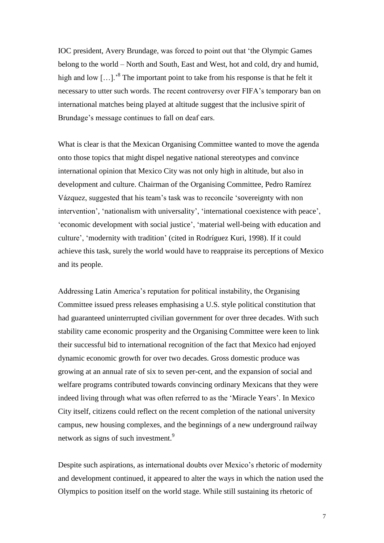IOC president, Avery Brundage, was forced to point out that "the Olympic Games belong to the world – North and South, East and West, hot and cold, dry and humid, high and low  $\left[\ldots\right]$ .<sup>8</sup> The important point to take from his response is that he felt it necessary to utter such words. The recent controversy over FIFA"s temporary ban on international matches being played at altitude suggest that the inclusive spirit of Brundage's message continues to fall on deaf ears.

What is clear is that the Mexican Organising Committee wanted to move the agenda onto those topics that might dispel negative national stereotypes and convince international opinion that Mexico City was not only high in altitude, but also in development and culture. Chairman of the Organising Committee, Pedro Ramírez Vázquez, suggested that his team"s task was to reconcile "sovereignty with non intervention', 'nationalism with universality', 'international coexistence with peace', "economic development with social justice", "material well-being with education and culture", "modernity with tradition" (cited in Rodríguez Kuri, 1998). If it could achieve this task, surely the world would have to reappraise its perceptions of Mexico and its people.

Addressing Latin America"s reputation for political instability, the Organising Committee issued press releases emphasising a U.S. style political constitution that had guaranteed uninterrupted civilian government for over three decades. With such stability came economic prosperity and the Organising Committee were keen to link their successful bid to international recognition of the fact that Mexico had enjoyed dynamic economic growth for over two decades. Gross domestic produce was growing at an annual rate of six to seven per-cent, and the expansion of social and welfare programs contributed towards convincing ordinary Mexicans that they were indeed living through what was often referred to as the 'Miracle Years'. In Mexico City itself, citizens could reflect on the recent completion of the national university campus, new housing complexes, and the beginnings of a new underground railway network as signs of such investment.<sup>9</sup>

Despite such aspirations, as international doubts over Mexico"s rhetoric of modernity and development continued, it appeared to alter the ways in which the nation used the Olympics to position itself on the world stage. While still sustaining its rhetoric of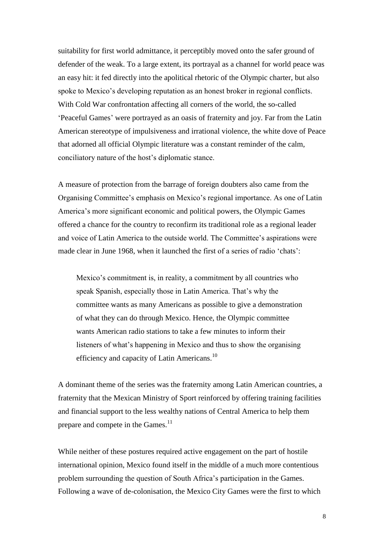suitability for first world admittance, it perceptibly moved onto the safer ground of defender of the weak. To a large extent, its portrayal as a channel for world peace was an easy hit: it fed directly into the apolitical rhetoric of the Olympic charter, but also spoke to Mexico's developing reputation as an honest broker in regional conflicts. With Cold War confrontation affecting all corners of the world, the so-called "Peaceful Games" were portrayed as an oasis of fraternity and joy. Far from the Latin American stereotype of impulsiveness and irrational violence, the white dove of Peace that adorned all official Olympic literature was a constant reminder of the calm, conciliatory nature of the host"s diplomatic stance.

A measure of protection from the barrage of foreign doubters also came from the Organising Committee"s emphasis on Mexico"s regional importance. As one of Latin America"s more significant economic and political powers, the Olympic Games offered a chance for the country to reconfirm its traditional role as a regional leader and voice of Latin America to the outside world. The Committee"s aspirations were made clear in June 1968, when it launched the first of a series of radio "chats":

Mexico's commitment is, in reality, a commitment by all countries who speak Spanish, especially those in Latin America. That's why the committee wants as many Americans as possible to give a demonstration of what they can do through Mexico. Hence, the Olympic committee wants American radio stations to take a few minutes to inform their listeners of what"s happening in Mexico and thus to show the organising efficiency and capacity of Latin Americans.<sup>10</sup>

A dominant theme of the series was the fraternity among Latin American countries, a fraternity that the Mexican Ministry of Sport reinforced by offering training facilities and financial support to the less wealthy nations of Central America to help them prepare and compete in the Games.<sup>11</sup>

While neither of these postures required active engagement on the part of hostile international opinion, Mexico found itself in the middle of a much more contentious problem surrounding the question of South Africa"s participation in the Games. Following a wave of de-colonisation, the Mexico City Games were the first to which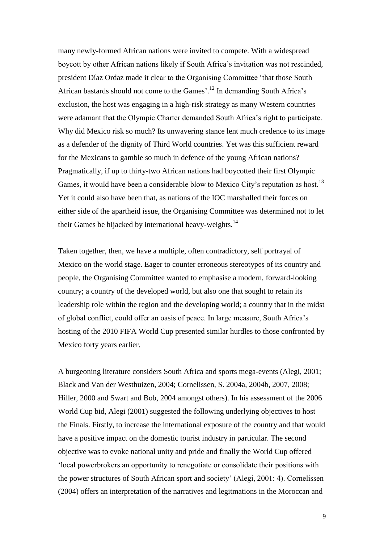many newly-formed African nations were invited to compete. With a widespread boycott by other African nations likely if South Africa"s invitation was not rescinded, president Díaz Ordaz made it clear to the Organising Committee "that those South African bastards should not come to the Games'.<sup>12</sup> In demanding South Africa's exclusion, the host was engaging in a high-risk strategy as many Western countries were adamant that the Olympic Charter demanded South Africa"s right to participate. Why did Mexico risk so much? Its unwavering stance lent much credence to its image as a defender of the dignity of Third World countries. Yet was this sufficient reward for the Mexicans to gamble so much in defence of the young African nations? Pragmatically, if up to thirty-two African nations had boycotted their first Olympic Games, it would have been a considerable blow to Mexico City's reputation as host.<sup>13</sup> Yet it could also have been that, as nations of the IOC marshalled their forces on either side of the apartheid issue, the Organising Committee was determined not to let their Games be hijacked by international heavy-weights. $^{14}$ 

Taken together, then, we have a multiple, often contradictory, self portrayal of Mexico on the world stage. Eager to counter erroneous stereotypes of its country and people, the Organising Committee wanted to emphasise a modern, forward-looking country; a country of the developed world, but also one that sought to retain its leadership role within the region and the developing world; a country that in the midst of global conflict, could offer an oasis of peace. In large measure, South Africa"s hosting of the 2010 FIFA World Cup presented similar hurdles to those confronted by Mexico forty years earlier.

A burgeoning literature considers South Africa and sports mega-events (Alegi, 2001; Black and Van der Westhuizen, 2004; Cornelissen, S. 2004a, 2004b, 2007, 2008; Hiller, 2000 and Swart and Bob, 2004 amongst others). In his assessment of the 2006 World Cup bid, Alegi (2001) suggested the following underlying objectives to host the Finals. Firstly, to increase the international exposure of the country and that would have a positive impact on the domestic tourist industry in particular. The second objective was to evoke national unity and pride and finally the World Cup offered "local powerbrokers an opportunity to renegotiate or consolidate their positions with the power structures of South African sport and society" (Alegi, 2001: 4). Cornelissen (2004) offers an interpretation of the narratives and legitmations in the Moroccan and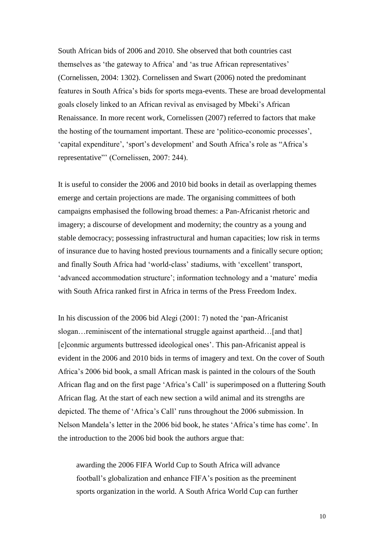South African bids of 2006 and 2010. She observed that both countries cast themselves as "the gateway to Africa" and "as true African representatives" (Cornelissen, 2004: 1302). Cornelissen and Swart (2006) noted the predominant features in South Africa"s bids for sports mega-events. These are broad developmental goals closely linked to an African revival as envisaged by Mbeki"s African Renaissance. In more recent work, Cornelissen (2007) referred to factors that make the hosting of the tournament important. These are "politico-economic processes", 'capital expenditure', 'sport's development' and South Africa's role as "Africa's representative"" (Cornelissen, 2007: 244).

It is useful to consider the 2006 and 2010 bid books in detail as overlapping themes emerge and certain projections are made. The organising committees of both campaigns emphasised the following broad themes: a Pan-Africanist rhetoric and imagery; a discourse of development and modernity; the country as a young and stable democracy; possessing infrastructural and human capacities; low risk in terms of insurance due to having hosted previous tournaments and a finically secure option; and finally South Africa had "world-class" stadiums, with "excellent" transport, 'advanced accommodation structure'; information technology and a 'mature' media with South Africa ranked first in Africa in terms of the Press Freedom Index.

In his discussion of the 2006 bid Alegi (2001: 7) noted the "pan-Africanist slogan... reminiscent of the international struggle against apartheid... [and that] [e]conmic arguments buttressed ideological ones". This pan-Africanist appeal is evident in the 2006 and 2010 bids in terms of imagery and text. On the cover of South Africa"s 2006 bid book, a small African mask is painted in the colours of the South African flag and on the first page "Africa"s Call" is superimposed on a fluttering South African flag. At the start of each new section a wild animal and its strengths are depicted. The theme of "Africa"s Call" runs throughout the 2006 submission. In Nelson Mandela"s letter in the 2006 bid book, he states "Africa"s time has come". In the introduction to the 2006 bid book the authors argue that:

awarding the 2006 FIFA World Cup to South Africa will advance football"s globalization and enhance FIFA"s position as the preeminent sports organization in the world. A South Africa World Cup can further

10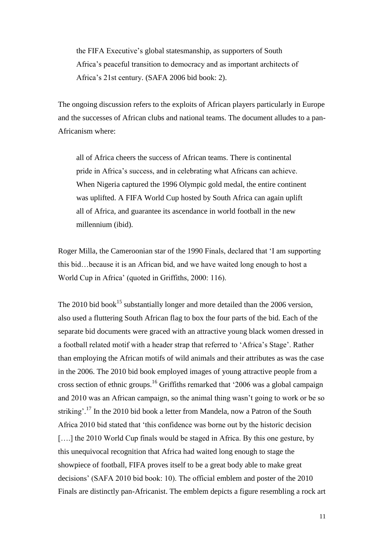the FIFA Executive"s global statesmanship, as supporters of South Africa"s peaceful transition to democracy and as important architects of Africa"s 21st century. (SAFA 2006 bid book: 2).

The ongoing discussion refers to the exploits of African players particularly in Europe and the successes of African clubs and national teams. The document alludes to a pan-Africanism where:

all of Africa cheers the success of African teams. There is continental pride in Africa"s success, and in celebrating what Africans can achieve. When Nigeria captured the 1996 Olympic gold medal, the entire continent was uplifted. A FIFA World Cup hosted by South Africa can again uplift all of Africa, and guarantee its ascendance in world football in the new millennium (ibid).

Roger Milla, the Cameroonian star of the 1990 Finals, declared that "I am supporting this bid…because it is an African bid, and we have waited long enough to host a World Cup in Africa" (quoted in Griffiths, 2000: 116).

The 2010 bid book<sup>15</sup> substantially longer and more detailed than the 2006 version, also used a fluttering South African flag to box the four parts of the bid. Each of the separate bid documents were graced with an attractive young black women dressed in a football related motif with a header strap that referred to "Africa"s Stage". Rather than employing the African motifs of wild animals and their attributes as was the case in the 2006. The 2010 bid book employed images of young attractive people from a cross section of ethnic groups.<sup>16</sup> Griffiths remarked that '2006 was a global campaign and 2010 was an African campaign, so the animal thing wasn"t going to work or be so striking'.<sup>17</sup> In the 2010 bid book a letter from Mandela, now a Patron of the South Africa 2010 bid stated that "this confidence was borne out by the historic decision [...] the 2010 World Cup finals would be staged in Africa. By this one gesture, by this unequivocal recognition that Africa had waited long enough to stage the showpiece of football, FIFA proves itself to be a great body able to make great decisions" (SAFA 2010 bid book: 10). The official emblem and poster of the 2010 Finals are distinctly pan-Africanist. The emblem depicts a figure resembling a rock art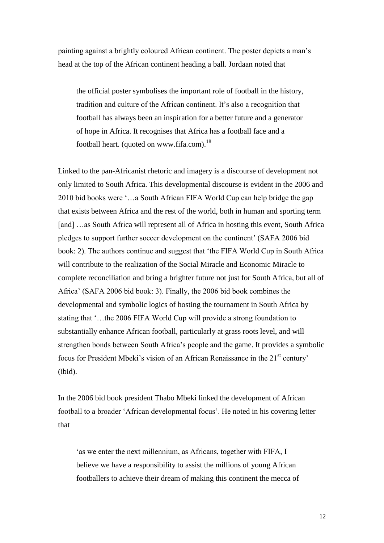painting against a brightly coloured African continent. The poster depicts a man"s head at the top of the African continent heading a ball. Jordaan noted that

the official poster symbolises the important role of football in the history, tradition and culture of the African continent. It"s also a recognition that football has always been an inspiration for a better future and a generator of hope in Africa. It recognises that Africa has a football face and a football heart. (quoted on www.fifa.com).<sup>18</sup>

Linked to the pan-Africanist rhetoric and imagery is a discourse of development not only limited to South Africa. This developmental discourse is evident in the 2006 and 2010 bid books were "…a South African FIFA World Cup can help bridge the gap that exists between Africa and the rest of the world, both in human and sporting term [and] …as South Africa will represent all of Africa in hosting this event, South Africa pledges to support further soccer development on the continent" (SAFA 2006 bid book: 2). The authors continue and suggest that "the FIFA World Cup in South Africa will contribute to the realization of the Social Miracle and Economic Miracle to complete reconciliation and bring a brighter future not just for South Africa, but all of Africa" (SAFA 2006 bid book: 3). Finally, the 2006 bid book combines the developmental and symbolic logics of hosting the tournament in South Africa by stating that "…the 2006 FIFA World Cup will provide a strong foundation to substantially enhance African football, particularly at grass roots level, and will strengthen bonds between South Africa"s people and the game. It provides a symbolic focus for President Mbeki's vision of an African Renaissance in the 21<sup>st</sup> century' (ibid).

In the 2006 bid book president Thabo Mbeki linked the development of African football to a broader "African developmental focus". He noted in his covering letter that

'as we enter the next millennium, as Africans, together with FIFA, I believe we have a responsibility to assist the millions of young African footballers to achieve their dream of making this continent the mecca of

12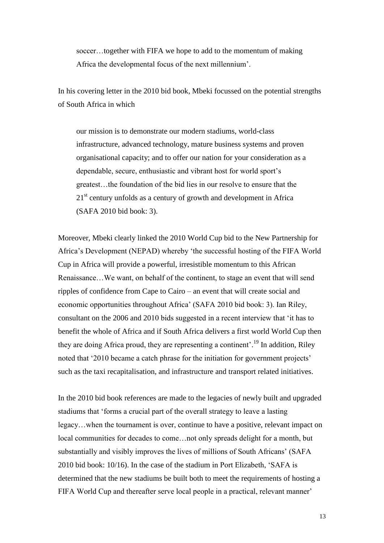soccer…together with FIFA we hope to add to the momentum of making Africa the developmental focus of the next millennium".

In his covering letter in the 2010 bid book, Mbeki focussed on the potential strengths of South Africa in which

our mission is to demonstrate our modern stadiums, world-class infrastructure, advanced technology, mature business systems and proven organisational capacity; and to offer our nation for your consideration as a dependable, secure, enthusiastic and vibrant host for world sport"s greatest…the foundation of the bid lies in our resolve to ensure that the 21<sup>st</sup> century unfolds as a century of growth and development in Africa (SAFA 2010 bid book: 3).

Moreover, Mbeki clearly linked the 2010 World Cup bid to the New Partnership for Africa"s Development (NEPAD) whereby "the successful hosting of the FIFA World Cup in Africa will provide a powerful, irresistible momentum to this African Renaissance…We want, on behalf of the continent, to stage an event that will send ripples of confidence from Cape to Cairo – an event that will create social and economic opportunities throughout Africa" (SAFA 2010 bid book: 3). Ian Riley, consultant on the 2006 and 2010 bids suggested in a recent interview that "it has to benefit the whole of Africa and if South Africa delivers a first world World Cup then they are doing Africa proud, they are representing a continent'.<sup>19</sup> In addition, Riley noted that '2010 became a catch phrase for the initiation for government projects' such as the taxi recapitalisation, and infrastructure and transport related initiatives.

In the 2010 bid book references are made to the legacies of newly built and upgraded stadiums that "forms a crucial part of the overall strategy to leave a lasting legacy…when the tournament is over, continue to have a positive, relevant impact on local communities for decades to come…not only spreads delight for a month, but substantially and visibly improves the lives of millions of South Africans" (SAFA 2010 bid book: 10/16). In the case of the stadium in Port Elizabeth, "SAFA is determined that the new stadiums be built both to meet the requirements of hosting a FIFA World Cup and thereafter serve local people in a practical, relevant manner"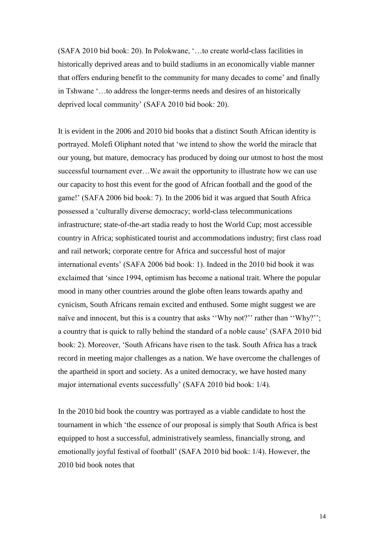(SAFA 2010 bid book: 20). In Polokwane, "…to create world-class facilities in historically deprived areas and to build stadiums in an economically viable manner that offers enduring benefit to the community for many decades to come" and finally in Tshwane "…to address the longer-terms needs and desires of an historically deprived local community" (SAFA 2010 bid book: 20).

It is evident in the 2006 and 2010 bid books that a distinct South African identity is portrayed. Molefi Oliphant noted that "we intend to show the world the miracle that our young, but mature, democracy has produced by doing our utmost to host the most successful tournament ever…We await the opportunity to illustrate how we can use our capacity to host this event for the good of African football and the good of the game!" (SAFA 2006 bid book: 7). In the 2006 bid it was argued that South Africa possessed a "culturally diverse democracy; world-class telecommunications infrastructure; state-of-the-art stadia ready to host the World Cup; most accessible country in Africa; sophisticated tourist and accommodations industry; first class road and rail network; corporate centre for Africa and successful host of major international events" (SAFA 2006 bid book: 1). Indeed in the 2010 bid book it was exclaimed that "since 1994, optimism has become a national trait. Where the popular mood in many other countries around the globe often leans towards apathy and cynicism, South Africans remain excited and enthused. Some might suggest we are naïve and innocent, but this is a country that asks "Why not?" rather than "Why?"; a country that is quick to rally behind the standard of a noble cause" (SAFA 2010 bid book: 2). Moreover, "South Africans have risen to the task. South Africa has a track record in meeting major challenges as a nation. We have overcome the challenges of the apartheid in sport and society. As a united democracy, we have hosted many major international events successfully" (SAFA 2010 bid book: 1/4).

In the 2010 bid book the country was portrayed as a viable candidate to host the tournament in which "the essence of our proposal is simply that South Africa is best equipped to host a successful, administratively seamless, financially strong, and emotionally joyful festival of football" (SAFA 2010 bid book: 1/4). However, the 2010 bid book notes that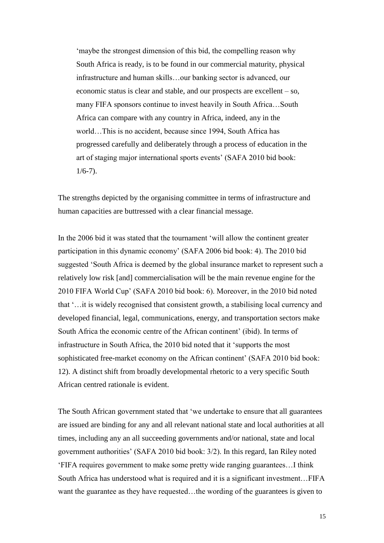may be the strongest dimension of this bid, the compelling reason why South Africa is ready, is to be found in our commercial maturity, physical infrastructure and human skills…our banking sector is advanced, our economic status is clear and stable, and our prospects are excellent – so, many FIFA sponsors continue to invest heavily in South Africa…South Africa can compare with any country in Africa, indeed, any in the world…This is no accident, because since 1994, South Africa has progressed carefully and deliberately through a process of education in the art of staging major international sports events" (SAFA 2010 bid book:  $1/6 - 7$ ).

The strengths depicted by the organising committee in terms of infrastructure and human capacities are buttressed with a clear financial message.

In the 2006 bid it was stated that the tournament "will allow the continent greater participation in this dynamic economy" (SAFA 2006 bid book: 4). The 2010 bid suggested "South Africa is deemed by the global insurance market to represent such a relatively low risk [and] commercialisation will be the main revenue engine for the 2010 FIFA World Cup" (SAFA 2010 bid book: 6). Moreover, in the 2010 bid noted that "…it is widely recognised that consistent growth, a stabilising local currency and developed financial, legal, communications, energy, and transportation sectors make South Africa the economic centre of the African continent' (ibid). In terms of infrastructure in South Africa, the 2010 bid noted that it "supports the most sophisticated free-market economy on the African continent' (SAFA 2010 bid book: 12). A distinct shift from broadly developmental rhetoric to a very specific South African centred rationale is evident.

The South African government stated that "we undertake to ensure that all guarantees are issued are binding for any and all relevant national state and local authorities at all times, including any an all succeeding governments and/or national, state and local government authorities" (SAFA 2010 bid book: 3/2). In this regard, Ian Riley noted "FIFA requires government to make some pretty wide ranging guarantees…I think South Africa has understood what is required and it is a significant investment…FIFA want the guarantee as they have requested...the wording of the guarantees is given to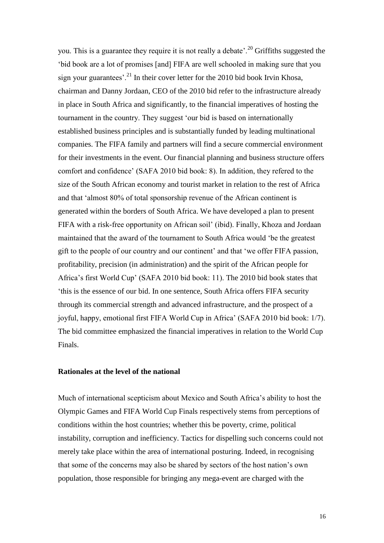you. This is a guarantee they require it is not really a debate'.<sup>20</sup> Griffiths suggested the "bid book are a lot of promises [and] FIFA are well schooled in making sure that you sign your guarantees'.<sup>21</sup> In their cover letter for the 2010 bid book Irvin Khosa, chairman and Danny Jordaan, CEO of the 2010 bid refer to the infrastructure already in place in South Africa and significantly, to the financial imperatives of hosting the tournament in the country. They suggest "our bid is based on internationally established business principles and is substantially funded by leading multinational companies. The FIFA family and partners will find a secure commercial environment for their investments in the event. Our financial planning and business structure offers comfort and confidence" (SAFA 2010 bid book: 8). In addition, they refered to the size of the South African economy and tourist market in relation to the rest of Africa and that "almost 80% of total sponsorship revenue of the African continent is generated within the borders of South Africa. We have developed a plan to present FIFA with a risk-free opportunity on African soil" (ibid). Finally, Khoza and Jordaan maintained that the award of the tournament to South Africa would "be the greatest gift to the people of our country and our continent" and that "we offer FIFA passion, profitability, precision (in administration) and the spirit of the African people for Africa"s first World Cup" (SAFA 2010 bid book: 11). The 2010 bid book states that "this is the essence of our bid. In one sentence, South Africa offers FIFA security through its commercial strength and advanced infrastructure, and the prospect of a joyful, happy, emotional first FIFA World Cup in Africa" (SAFA 2010 bid book: 1/7). The bid committee emphasized the financial imperatives in relation to the World Cup Finals.

# **Rationales at the level of the national**

Much of international scepticism about Mexico and South Africa"s ability to host the Olympic Games and FIFA World Cup Finals respectively stems from perceptions of conditions within the host countries; whether this be poverty, crime, political instability, corruption and inefficiency. Tactics for dispelling such concerns could not merely take place within the area of international posturing. Indeed, in recognising that some of the concerns may also be shared by sectors of the host nation"s own population, those responsible for bringing any mega-event are charged with the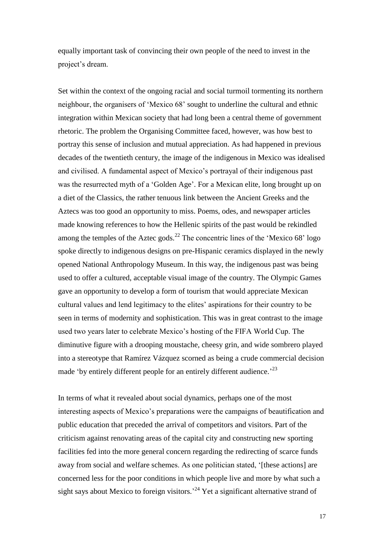equally important task of convincing their own people of the need to invest in the project's dream.

Set within the context of the ongoing racial and social turmoil tormenting its northern neighbour, the organisers of "Mexico 68" sought to underline the cultural and ethnic integration within Mexican society that had long been a central theme of government rhetoric. The problem the Organising Committee faced, however, was how best to portray this sense of inclusion and mutual appreciation. As had happened in previous decades of the twentieth century, the image of the indigenous in Mexico was idealised and civilised. A fundamental aspect of Mexico"s portrayal of their indigenous past was the resurrected myth of a 'Golden Age'. For a Mexican elite, long brought up on a diet of the Classics, the rather tenuous link between the Ancient Greeks and the Aztecs was too good an opportunity to miss. Poems, odes, and newspaper articles made knowing references to how the Hellenic spirits of the past would be rekindled among the temples of the Aztec gods.<sup>22</sup> The concentric lines of the 'Mexico 68' logo spoke directly to indigenous designs on pre-Hispanic ceramics displayed in the newly opened National Anthropology Museum. In this way, the indigenous past was being used to offer a cultured, acceptable visual image of the country. The Olympic Games gave an opportunity to develop a form of tourism that would appreciate Mexican cultural values and lend legitimacy to the elites" aspirations for their country to be seen in terms of modernity and sophistication. This was in great contrast to the image used two years later to celebrate Mexico"s hosting of the FIFA World Cup. The diminutive figure with a drooping moustache, cheesy grin, and wide sombrero played into a stereotype that Ramírez Vázquez scorned as being a crude commercial decision made 'by entirely different people for an entirely different audience.<sup>23</sup>

In terms of what it revealed about social dynamics, perhaps one of the most interesting aspects of Mexico"s preparations were the campaigns of beautification and public education that preceded the arrival of competitors and visitors. Part of the criticism against renovating areas of the capital city and constructing new sporting facilities fed into the more general concern regarding the redirecting of scarce funds away from social and welfare schemes. As one politician stated, "[these actions] are concerned less for the poor conditions in which people live and more by what such a sight says about Mexico to foreign visitors.<sup>24</sup> Yet a significant alternative strand of

17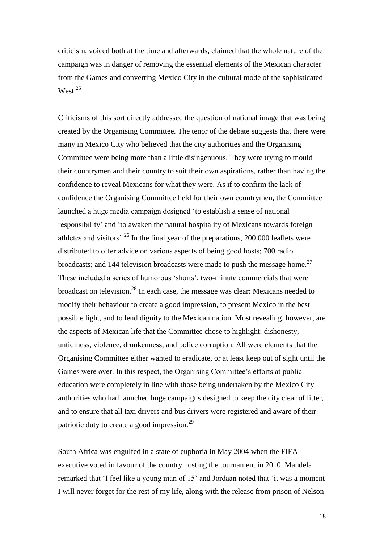criticism, voiced both at the time and afterwards, claimed that the whole nature of the campaign was in danger of removing the essential elements of the Mexican character from the Games and converting Mexico City in the cultural mode of the sophisticated West $^{25}$ 

Criticisms of this sort directly addressed the question of national image that was being created by the Organising Committee. The tenor of the debate suggests that there were many in Mexico City who believed that the city authorities and the Organising Committee were being more than a little disingenuous. They were trying to mould their countrymen and their country to suit their own aspirations, rather than having the confidence to reveal Mexicans for what they were. As if to confirm the lack of confidence the Organising Committee held for their own countrymen, the Committee launched a huge media campaign designed "to establish a sense of national responsibility' and 'to awaken the natural hospitality of Mexicans towards foreign athletes and visitors'.<sup>26</sup> In the final year of the preparations, 200,000 leaflets were distributed to offer advice on various aspects of being good hosts; 700 radio broadcasts; and 144 television broadcasts were made to push the message home.<sup>27</sup> These included a series of humorous 'shorts', two-minute commercials that were broadcast on television.<sup>28</sup> In each case, the message was clear: Mexicans needed to modify their behaviour to create a good impression, to present Mexico in the best possible light, and to lend dignity to the Mexican nation. Most revealing, however, are the aspects of Mexican life that the Committee chose to highlight: dishonesty, untidiness, violence, drunkenness, and police corruption. All were elements that the Organising Committee either wanted to eradicate, or at least keep out of sight until the Games were over. In this respect, the Organising Committee's efforts at public education were completely in line with those being undertaken by the Mexico City authorities who had launched huge campaigns designed to keep the city clear of litter, and to ensure that all taxi drivers and bus drivers were registered and aware of their patriotic duty to create a good impression.<sup>29</sup>

South Africa was engulfed in a state of euphoria in May 2004 when the FIFA executive voted in favour of the country hosting the tournament in 2010. Mandela remarked that "I feel like a young man of 15" and Jordaan noted that "it was a moment I will never forget for the rest of my life, along with the release from prison of Nelson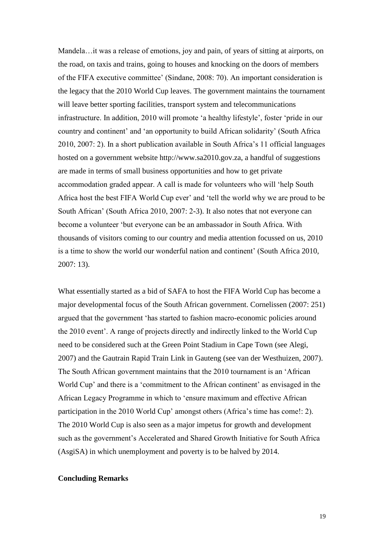Mandela…it was a release of emotions, joy and pain, of years of sitting at airports, on the road, on taxis and trains, going to houses and knocking on the doors of members of the FIFA executive committee" (Sindane, 2008: 70). An important consideration is the legacy that the 2010 World Cup leaves. The government maintains the tournament will leave better sporting facilities, transport system and telecommunications infrastructure. In addition, 2010 will promote "a healthy lifestyle", foster "pride in our country and continent" and "an opportunity to build African solidarity" (South Africa 2010, 2007: 2). In a short publication available in South Africa"s 11 official languages hosted on a government website http://www.sa2010.gov.za, a handful of suggestions are made in terms of small business opportunities and how to get private accommodation graded appear. A call is made for volunteers who will "help South Africa host the best FIFA World Cup ever" and "tell the world why we are proud to be South African" (South Africa 2010, 2007: 2-3). It also notes that not everyone can become a volunteer "but everyone can be an ambassador in South Africa. With thousands of visitors coming to our country and media attention focussed on us, 2010 is a time to show the world our wonderful nation and continent" (South Africa 2010, 2007: 13).

What essentially started as a bid of SAFA to host the FIFA World Cup has become a major developmental focus of the South African government. Cornelissen (2007: 251) argued that the government "has started to fashion macro-economic policies around the 2010 event". A range of projects directly and indirectly linked to the World Cup need to be considered such at the Green Point Stadium in Cape Town (see Alegi, 2007) and the Gautrain Rapid Train Link in Gauteng (see van der Westhuizen, 2007). The South African government maintains that the 2010 tournament is an "African World Cup' and there is a 'commitment to the African continent' as envisaged in the African Legacy Programme in which to "ensure maximum and effective African participation in the 2010 World Cup" amongst others (Africa"s time has come!: 2). The 2010 World Cup is also seen as a major impetus for growth and development such as the government"s Accelerated and Shared Growth Initiative for South Africa (AsgiSA) in which unemployment and poverty is to be halved by 2014.

# **Concluding Remarks**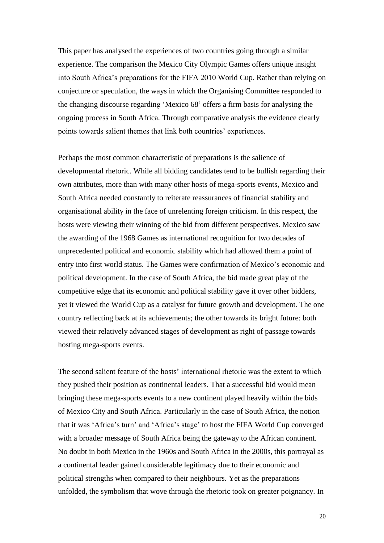This paper has analysed the experiences of two countries going through a similar experience. The comparison the Mexico City Olympic Games offers unique insight into South Africa"s preparations for the FIFA 2010 World Cup. Rather than relying on conjecture or speculation, the ways in which the Organising Committee responded to the changing discourse regarding "Mexico 68" offers a firm basis for analysing the ongoing process in South Africa. Through comparative analysis the evidence clearly points towards salient themes that link both countries" experiences.

Perhaps the most common characteristic of preparations is the salience of developmental rhetoric. While all bidding candidates tend to be bullish regarding their own attributes, more than with many other hosts of mega-sports events, Mexico and South Africa needed constantly to reiterate reassurances of financial stability and organisational ability in the face of unrelenting foreign criticism. In this respect, the hosts were viewing their winning of the bid from different perspectives. Mexico saw the awarding of the 1968 Games as international recognition for two decades of unprecedented political and economic stability which had allowed them a point of entry into first world status. The Games were confirmation of Mexico"s economic and political development. In the case of South Africa, the bid made great play of the competitive edge that its economic and political stability gave it over other bidders, yet it viewed the World Cup as a catalyst for future growth and development. The one country reflecting back at its achievements; the other towards its bright future: both viewed their relatively advanced stages of development as right of passage towards hosting mega-sports events.

The second salient feature of the hosts' international rhetoric was the extent to which they pushed their position as continental leaders. That a successful bid would mean bringing these mega-sports events to a new continent played heavily within the bids of Mexico City and South Africa. Particularly in the case of South Africa, the notion that it was "Africa"s turn" and "Africa"s stage" to host the FIFA World Cup converged with a broader message of South Africa being the gateway to the African continent. No doubt in both Mexico in the 1960s and South Africa in the 2000s, this portrayal as a continental leader gained considerable legitimacy due to their economic and political strengths when compared to their neighbours. Yet as the preparations unfolded, the symbolism that wove through the rhetoric took on greater poignancy. In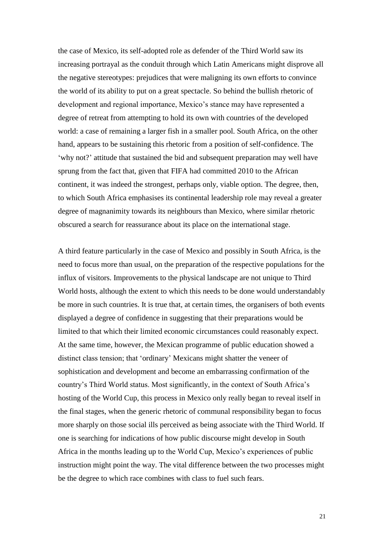the case of Mexico, its self-adopted role as defender of the Third World saw its increasing portrayal as the conduit through which Latin Americans might disprove all the negative stereotypes: prejudices that were maligning its own efforts to convince the world of its ability to put on a great spectacle. So behind the bullish rhetoric of development and regional importance, Mexico's stance may have represented a degree of retreat from attempting to hold its own with countries of the developed world: a case of remaining a larger fish in a smaller pool. South Africa, on the other hand, appears to be sustaining this rhetoric from a position of self-confidence. The 'why not?' attitude that sustained the bid and subsequent preparation may well have sprung from the fact that, given that FIFA had committed 2010 to the African continent, it was indeed the strongest, perhaps only, viable option. The degree, then, to which South Africa emphasises its continental leadership role may reveal a greater degree of magnanimity towards its neighbours than Mexico, where similar rhetoric obscured a search for reassurance about its place on the international stage.

A third feature particularly in the case of Mexico and possibly in South Africa, is the need to focus more than usual, on the preparation of the respective populations for the influx of visitors. Improvements to the physical landscape are not unique to Third World hosts, although the extent to which this needs to be done would understandably be more in such countries. It is true that, at certain times, the organisers of both events displayed a degree of confidence in suggesting that their preparations would be limited to that which their limited economic circumstances could reasonably expect. At the same time, however, the Mexican programme of public education showed a distinct class tension; that "ordinary" Mexicans might shatter the veneer of sophistication and development and become an embarrassing confirmation of the country"s Third World status. Most significantly, in the context of South Africa"s hosting of the World Cup, this process in Mexico only really began to reveal itself in the final stages, when the generic rhetoric of communal responsibility began to focus more sharply on those social ills perceived as being associate with the Third World. If one is searching for indications of how public discourse might develop in South Africa in the months leading up to the World Cup, Mexico"s experiences of public instruction might point the way. The vital difference between the two processes might be the degree to which race combines with class to fuel such fears.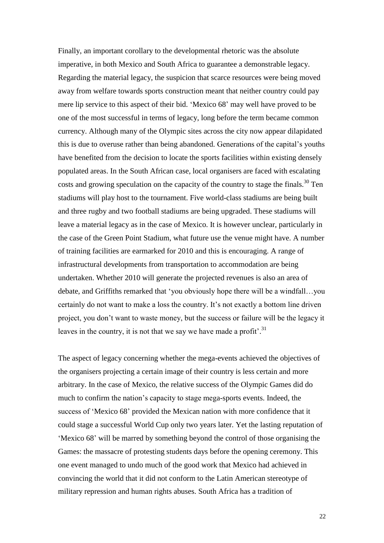Finally, an important corollary to the developmental rhetoric was the absolute imperative, in both Mexico and South Africa to guarantee a demonstrable legacy. Regarding the material legacy, the suspicion that scarce resources were being moved away from welfare towards sports construction meant that neither country could pay mere lip service to this aspect of their bid. "Mexico 68" may well have proved to be one of the most successful in terms of legacy, long before the term became common currency. Although many of the Olympic sites across the city now appear dilapidated this is due to overuse rather than being abandoned. Generations of the capital"s youths have benefited from the decision to locate the sports facilities within existing densely populated areas. In the South African case, local organisers are faced with escalating costs and growing speculation on the capacity of the country to stage the finals.<sup>30</sup> Ten stadiums will play host to the tournament. Five world-class stadiums are being built and three rugby and two football stadiums are being upgraded. These stadiums will leave a material legacy as in the case of Mexico. It is however unclear, particularly in the case of the Green Point Stadium, what future use the venue might have. A number of training facilities are earmarked for 2010 and this is encouraging. A range of infrastructural developments from transportation to accommodation are being undertaken. Whether 2010 will generate the projected revenues is also an area of debate, and Griffiths remarked that "you obviously hope there will be a windfall…you certainly do not want to make a loss the country. It's not exactly a bottom line driven project, you don"t want to waste money, but the success or failure will be the legacy it leaves in the country, it is not that we say we have made a profit'.<sup>31</sup>

The aspect of legacy concerning whether the mega-events achieved the objectives of the organisers projecting a certain image of their country is less certain and more arbitrary. In the case of Mexico, the relative success of the Olympic Games did do much to confirm the nation"s capacity to stage mega-sports events. Indeed, the success of "Mexico 68" provided the Mexican nation with more confidence that it could stage a successful World Cup only two years later. Yet the lasting reputation of "Mexico 68" will be marred by something beyond the control of those organising the Games: the massacre of protesting students days before the opening ceremony. This one event managed to undo much of the good work that Mexico had achieved in convincing the world that it did not conform to the Latin American stereotype of military repression and human rights abuses. South Africa has a tradition of

22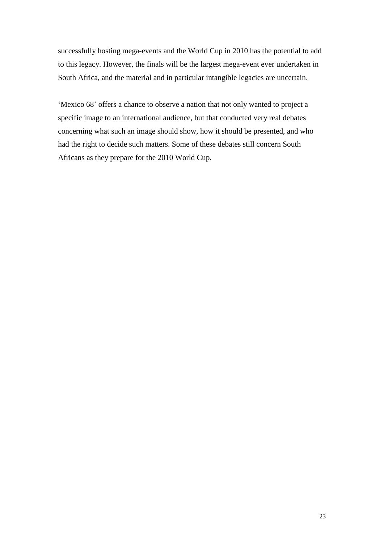successfully hosting mega-events and the World Cup in 2010 has the potential to add to this legacy. However, the finals will be the largest mega-event ever undertaken in South Africa, and the material and in particular intangible legacies are uncertain.

'Mexico 68' offers a chance to observe a nation that not only wanted to project a specific image to an international audience, but that conducted very real debates concerning what such an image should show, how it should be presented, and who had the right to decide such matters. Some of these debates still concern South Africans as they prepare for the 2010 World Cup.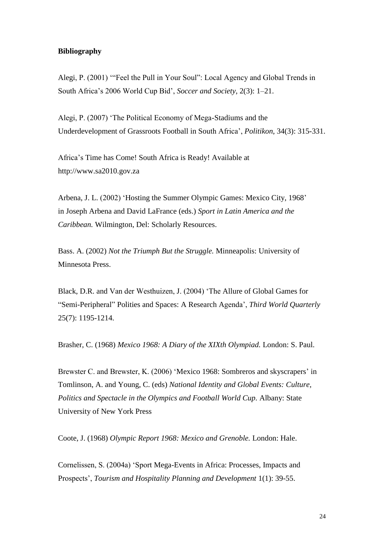# **Bibliography**

Alegi, P. (2001) ""Feel the Pull in Your Soul": Local Agency and Global Trends in South Africa"s 2006 World Cup Bid", *Soccer and Society*, 2(3): 1–21.

Alegi, P. (2007) "The Political Economy of Mega-Stadiums and the Underdevelopment of Grassroots Football in South Africa", *Politikon*, 34(3): 315-331.

Africa"s Time has Come! South Africa is Ready! Available at http://www.sa2010.gov.za

Arbena, J. L. (2002) "Hosting the Summer Olympic Games: Mexico City, 1968" in Joseph Arbena and David LaFrance (eds.) *Sport in Latin America and the Caribbean.* Wilmington, Del: Scholarly Resources.

Bass. A. (2002) *Not the Triumph But the Struggle.* Minneapolis: University of Minnesota Press.

Black, D.R. and Van der Westhuizen, J. (2004) "The Allure of Global Games for "Semi-Peripheral" Polities and Spaces: A Research Agenda", *Third World Quarterly*  25(7): 1195-1214.

Brasher, C. (1968) *Mexico 1968: A Diary of the XIXth Olympiad.* London: S. Paul.

Brewster C. and Brewster, K. (2006) 'Mexico 1968: Sombreros and skyscrapers' in Tomlinson, A. and Young, C. (eds) *National Identity and Global Events: Culture, Politics and Spectacle in the Olympics and Football World Cup.* Albany: State University of New York Press

Coote, J. (1968) *Olympic Report 1968: Mexico and Grenoble.* London: Hale.

Cornelissen, S. (2004a) "Sport Mega-Events in Africa: Processes, Impacts and Prospects", *Tourism and Hospitality Planning and Development* 1(1): 39-55.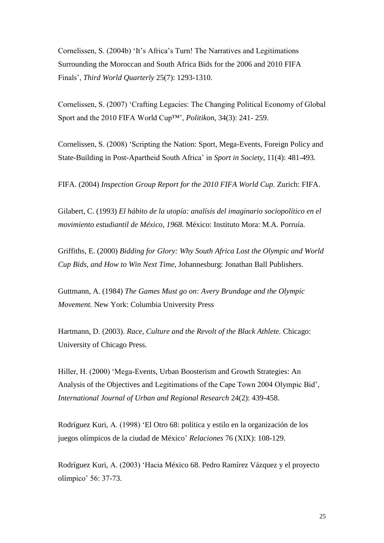Cornelissen, S. (2004b) 'It's Africa's Turn! The Narratives and Legitimations Surrounding the Moroccan and South Africa Bids for the 2006 and 2010 FIFA Finals", *Third World Quarterly* 25(7): 1293-1310.

Cornelissen, S. (2007) "Crafting Legacies: The Changing Political Economy of Global Sport and the 2010 FIFA World Cup™", *Politikon*, 34(3): 241- 259.

Cornelissen, S. (2008) "Scripting the Nation: Sport, Mega-Events, Foreign Policy and State-Building in Post-Apartheid South Africa" in *Sport in Society*, 11(4): 481-493.

FIFA. (2004) *Inspection Group Report for the 2010 FIFA World Cup.* Zurich: FIFA.

Gilabert, C. (1993) *El hábito de la utopía: analísis del imaginario sociopolítico en el movimiento estudiantil de México, 1968.* México: Instituto Mora: M.A. Porruía.

Griffiths, E. (2000) *Bidding for Glory: Why South Africa Lost the Olympic and World Cup Bids, and How to Win Next Time*, Johannesburg: Jonathan Ball Publishers.

Guttmann, A. (1984) *The Games Must go on: Avery Brundage and the Olympic Movement.* New York: Columbia University Press

Hartmann, D. (2003). *Race, Culture and the Revolt of the Black Athlete.* Chicago: University of Chicago Press.

Hiller, H. (2000) "Mega-Events, Urban Boosterism and Growth Strategies: An Analysis of the Objectives and Legitimations of the Cape Town 2004 Olympic Bid", *International Journal of Urban and Regional Research* 24(2): 439-458.

Rodríguez Kuri, A. (1998) "El Otro 68: política y estilo en la organización de los juegos olímpicos de la ciudad de México" *Relaciones* 76 (XIX): 108-129.

Rodríguez Kuri, A. (2003) "Hacia México 68. Pedro Ramírez Vázquez y el proyecto olímpico" 56: 37-73.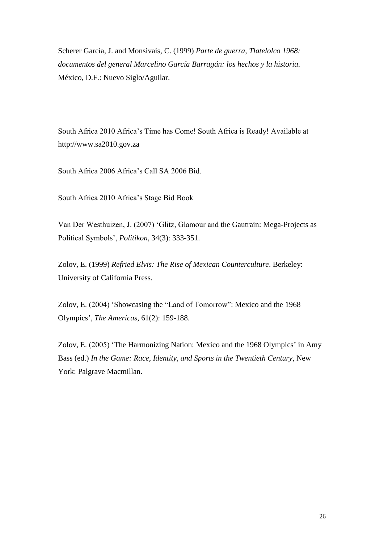Scherer García, J. and Monsivaís, C. (1999) *Parte de guerra, Tlatelolco 1968: documentos del general Marcelino García Barragán: los hechos y la historia.* México, D.F.: Nuevo Siglo/Aguilar.

South Africa 2010 Africa"s Time has Come! South Africa is Ready! Available at http://www.sa2010.gov.za

South Africa 2006 Africa"s Call SA 2006 Bid.

South Africa 2010 Africa"s Stage Bid Book

Van Der Westhuizen, J. (2007) "Glitz, Glamour and the Gautrain: Mega-Projects as Political Symbols", *Politikon*, 34(3): 333-351.

Zolov, E. (1999) *Refried Elvis: The Rise of Mexican Counterculture*. Berkeley: University of California Press.

Zolov, E. (2004) "Showcasing the "Land of Tomorrow": Mexico and the 1968 Olympics", *The Americas*, 61(2): 159-188.

Zolov, E. (2005) "The Harmonizing Nation: Mexico and the 1968 Olympics" in Amy Bass (ed.) *In the Game: Race, Identity, and Sports in the Twentieth Century*, New York: Palgrave Macmillan.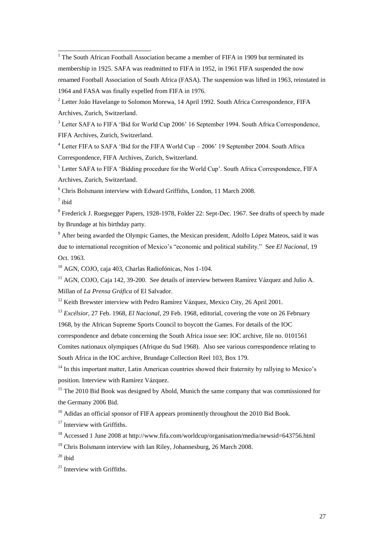$1$  The South African Football Association became a member of FIFA in 1909 but terminated its membership in 1925. SAFA was readmitted to FIFA in 1952, in 1961 FIFA suspended the now renamed Football Association of South Africa (FASA). The suspension was lifted in 1963, reinstated in 1964 and FASA was finally expelled from FIFA in 1976.

<sup>2</sup> Letter João Havelange to Solomon Morewa, 14 April 1992. South Africa Correspondence, FIFA Archives, Zurich, Switzerland.

<sup>3</sup> Letter SAFA to FIFA 'Bid for World Cup 2006' 16 September 1994. South Africa Correspondence, FIFA Archives, Zurich, Switzerland.

<sup>4</sup> Letter FIFA to SAFA "Bid for the FIFA World Cup – 2006" 19 September 2004. South Africa Correspondence, FIFA Archives, Zurich, Switzerland.

<sup>5</sup> Letter SAFA to FIFA 'Bidding procedure for the World Cup'. South Africa Correspondence, FIFA Archives, Zurich, Switzerland.

<sup>6</sup> Chris Bolsmann interview with Edward Griffiths, London, 11 March 2008.

 $7$  ibid

-

<sup>8</sup> Frederick J. Ruegsegger Papers, 1928-1978, Folder 22: Sept-Dec. 1967. See drafts of speech by made by Brundage at his birthday party.

<sup>9</sup> After being awarded the Olympic Games, the Mexican president, Adolfo López Mateos, said it was due to international recognition of Mexico"s "economic and political stability." See *El Nacional*, 19 Oct. 1963.

<sup>10</sup> AGN, COJO, caja 403, Charlas Radiofónicas, Nos 1-104.

<sup>11</sup> AGN, COJO, Caja 142, 39-200. See details of interview between Ramírez Vázquez and Julio A. Millan of *La Prensa Gráfica* of El Salvador.

<sup>12</sup> Keith Brewster interview with Pedro Ramírez Vázquez, Mexico City, 26 April 2001.

<sup>13</sup> *Excélsior*, 27 Feb. 1968, *El Nacional*, 29 Feb. 1968, editorial, covering the vote on 26 February 1968, by the African Supreme Sports Council to boycott the Games. For details of the IOC

correspondence and debate concerning the South Africa issue see: IOC archive, file no. 0101561

Comites nationaux olympiques (Afrique du Sud 1968). Also see various correspondence relating to South Africa in the IOC archive, Brundage Collection Reel 103, Box 179.

 $14$  In this important matter, Latin American countries showed their fraternity by rallying to Mexico's position. Interview with Ramírez Vázquez.

<sup>15</sup> The 2010 Bid Book was designed by Abold, Munich the same company that was commissioned for the Germany 2006 Bid.

<sup>16</sup> Adidas an official sponsor of FIFA appears prominently throughout the 2010 Bid Book.

<sup>17</sup> Interview with Griffiths.

<sup>18</sup> Accessed 1 June 2008 at http://www.fifa.com/worldcup/organisation/media/newsid=643756.html

<sup>19</sup> Chris Bolsmann interview with Ian Riley, Johannesburg, 26 March 2008.

 $20$  ibid

 $21$  Interview with Griffiths.